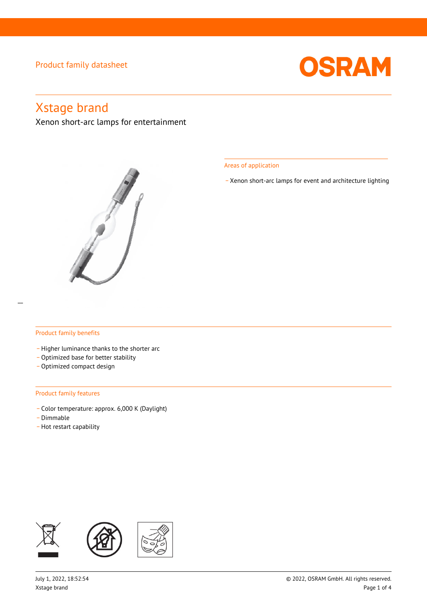

# Xstage brand

Xenon short-arc lamps for entertainment



Areas of application

\_ Xenon short-arc lamps for event and architecture lighting

### Product family benefits

- Higher luminance thanks to the shorter arc
- Optimized base for better stability
- Optimized compact design

#### Product family features

- \_ Color temperature: approx. 6,000 K (Daylight)
- .<br>Dimmable -
- Hot restart capability

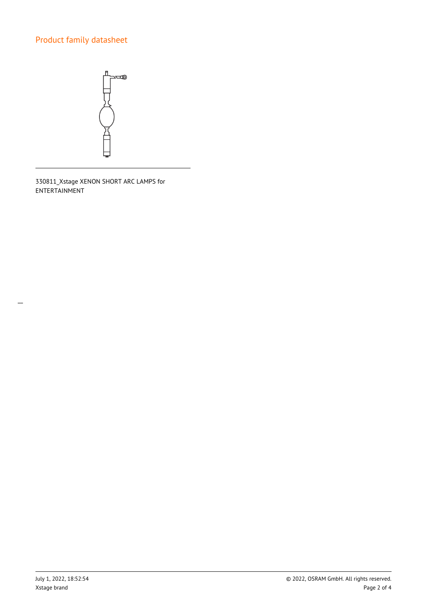

330811\_Xstage XENON SHORT ARC LAMPS for ENTERTAINMENT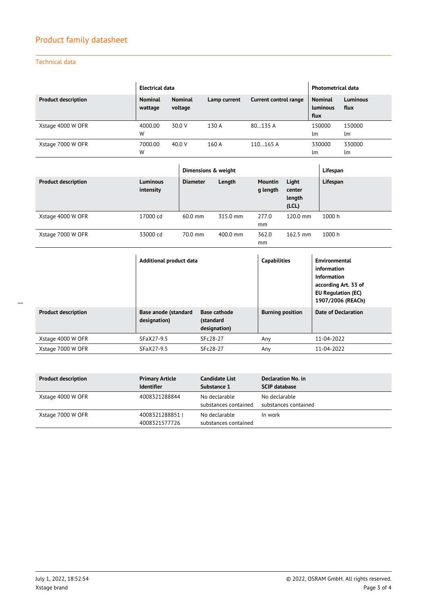## Technical data

|                            | Electrical data           |                           |              |                       | <b>Photometrical data</b>                 |                         |
|----------------------------|---------------------------|---------------------------|--------------|-----------------------|-------------------------------------------|-------------------------|
| <b>Product description</b> | <b>Nominal</b><br>wattage | <b>Nominal</b><br>voltage | Lamp current | Current control range | <b>Nominal</b><br><b>Luminous</b><br>flux | <b>Luminous</b><br>flux |
| Xstage 4000 W OFR          | 4000.00<br>W              | 30.0 V                    | 130 A        | 80135A                | 150000<br>lm                              | 150000<br>lm            |
| Xstage 7000 W OFR          | 7000.00<br>W              | 40.0 V                    | 160A         | 110165A               | 330000<br>lm                              | 330000<br>lm            |

|                            |                              | Dimensions & weight |          |                     |                                    | Lifespan |
|----------------------------|------------------------------|---------------------|----------|---------------------|------------------------------------|----------|
| <b>Product description</b> | <b>Luminous</b><br>intensity | <b>Diameter</b>     | Length   | Mountin<br>g length | Light<br>center<br>length<br>(LCL) | Lifespan |
| Xstage 4000 W OFR          | 17000 cd                     | $60.0$ mm           | 315.0 mm | 277.0<br>mm         | 120.0 mm                           | 1000 h   |
| Xstage 7000 W OFR          | 33000 cd                     | $70.0$ mm           | 400.0 mm | 362.0<br>mm         | $162.5$ mm                         | 1000 h   |

|                            | Additional product data              |                                                  | <b>Capabilities</b>     | Environmental<br>information<br>Information<br>according Art. 33 of<br><b>EU Regulation (EC)</b><br>1907/2006 (REACh) |
|----------------------------|--------------------------------------|--------------------------------------------------|-------------------------|-----------------------------------------------------------------------------------------------------------------------|
| <b>Product description</b> | Base anode (standard<br>designation) | <b>Base cathode</b><br>(standard<br>designation) | <b>Burning position</b> | <b>Date of Declaration</b>                                                                                            |
| Xstage 4000 W OFR          | SFaX27-9.5                           | SFc28-27                                         | Any                     | 11-04-2022                                                                                                            |
| Xstage 7000 W OFR          | SFaX27-9.5                           | SFc28-27                                         | Any                     | 11-04-2022                                                                                                            |

| <b>Product description</b> | <b>Primary Article</b><br><b>Identifier</b> | Candidate List<br>Substance 1         | Declaration No. in<br><b>SCIP database</b> |
|----------------------------|---------------------------------------------|---------------------------------------|--------------------------------------------|
| Xstage 4000 W OFR          | 4008321288844                               | No declarable<br>substances contained | No declarable<br>substances contained      |
| Xstage 7000 W OFR          | 4008321288851  <br>4008321577726            | No declarable<br>substances contained | In work                                    |